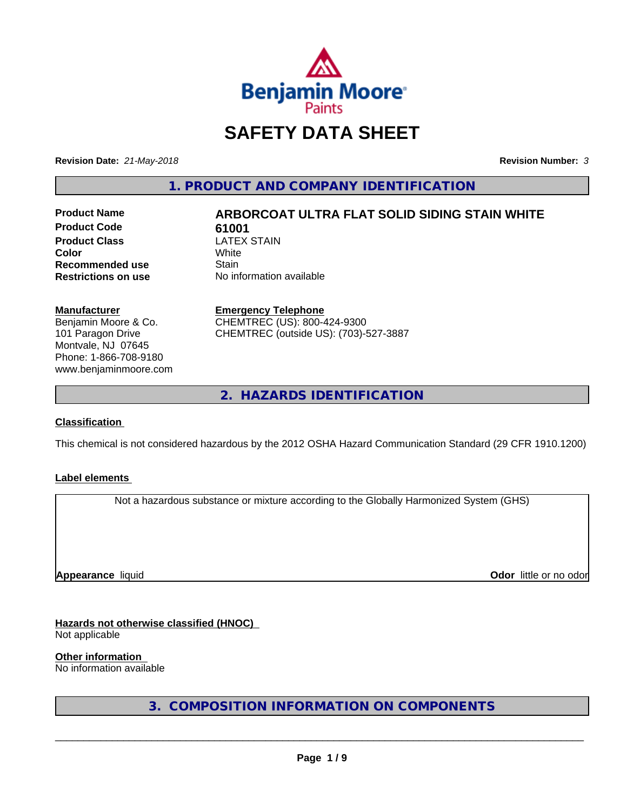

# **SAFETY DATA SHEET**

**Revision Date:** *21-May-2018* **Revision Number:** *3*

**1. PRODUCT AND COMPANY IDENTIFICATION**

**Product Code**<br> **Product Class EX STAIN Product Class Example 20 LATE**<br> **Color** White **Recommended use Stain<br>
<b>Restrictions on use** No inf

## **Product Name ARBORCOAT ULTRA FLAT SOLID SIDING STAIN WHITE**

**Color** White White **No information available** 

#### **Manufacturer**

Benjamin Moore & Co. 101 Paragon Drive Montvale, NJ 07645 Phone: 1-866-708-9180 www.benjaminmoore.com

#### **Emergency Telephone**

CHEMTREC (US): 800-424-9300 CHEMTREC (outside US): (703)-527-3887

**2. HAZARDS IDENTIFICATION**

#### **Classification**

This chemical is not considered hazardous by the 2012 OSHA Hazard Communication Standard (29 CFR 1910.1200)

#### **Label elements**

Not a hazardous substance or mixture according to the Globally Harmonized System (GHS)

**Appearance** liquid

**Odor** little or no odor

#### **Hazards not otherwise classified (HNOC)**

Not applicable

**Other information**

No information available

**3. COMPOSITION INFORMATION ON COMPONENTS**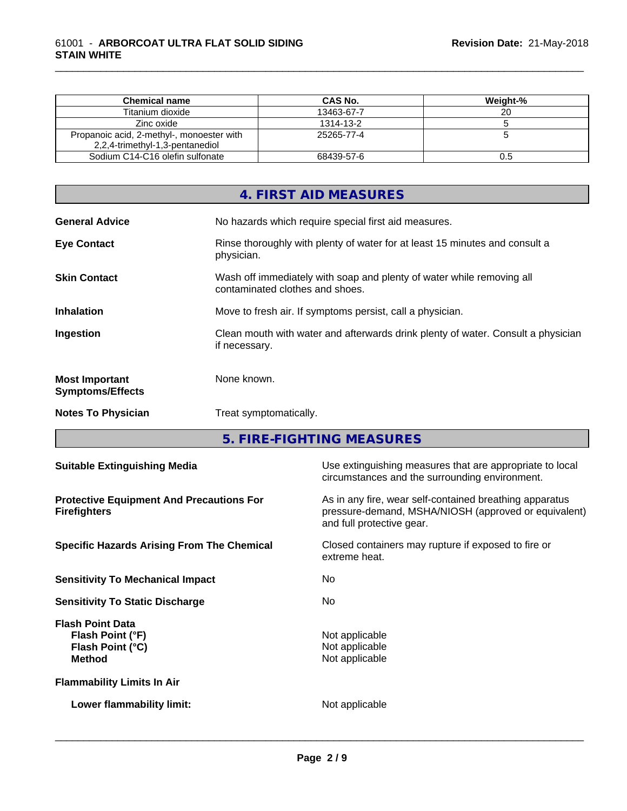| Chemical name                             | CAS No.    | Weight-% |
|-------------------------------------------|------------|----------|
| Titanium dioxide                          | 13463-67-7 |          |
| Zinc oxide                                | 1314-13-2  |          |
| Propanoic acid, 2-methyl-, monoester with | 25265-77-4 |          |
| 2,2,4-trimethyl-1,3-pentanediol           |            |          |
| Sodium C14-C16 olefin sulfonate           | 68439-57-6 | U.5      |

\_\_\_\_\_\_\_\_\_\_\_\_\_\_\_\_\_\_\_\_\_\_\_\_\_\_\_\_\_\_\_\_\_\_\_\_\_\_\_\_\_\_\_\_\_\_\_\_\_\_\_\_\_\_\_\_\_\_\_\_\_\_\_\_\_\_\_\_\_\_\_\_\_\_\_\_\_\_\_\_\_\_\_\_\_\_\_\_\_\_\_\_\_

|                                                  | 4. FIRST AID MEASURES                                                                                    |
|--------------------------------------------------|----------------------------------------------------------------------------------------------------------|
| <b>General Advice</b>                            | No hazards which require special first aid measures.                                                     |
| <b>Eye Contact</b>                               | Rinse thoroughly with plenty of water for at least 15 minutes and consult a<br>physician.                |
| <b>Skin Contact</b>                              | Wash off immediately with soap and plenty of water while removing all<br>contaminated clothes and shoes. |
| <b>Inhalation</b>                                | Move to fresh air. If symptoms persist, call a physician.                                                |
| Ingestion                                        | Clean mouth with water and afterwards drink plenty of water. Consult a physician<br>if necessary.        |
| <b>Most Important</b><br><b>Symptoms/Effects</b> | None known.                                                                                              |
| <b>Notes To Physician</b>                        | Treat symptomatically.                                                                                   |
|                                                  |                                                                                                          |

**5. FIRE-FIGHTING MEASURES**

| <b>Suitable Extinguishing Media</b>                                              | Use extinguishing measures that are appropriate to local<br>circumstances and the surrounding environment.                                   |  |  |
|----------------------------------------------------------------------------------|----------------------------------------------------------------------------------------------------------------------------------------------|--|--|
| <b>Protective Equipment And Precautions For</b><br><b>Firefighters</b>           | As in any fire, wear self-contained breathing apparatus<br>pressure-demand, MSHA/NIOSH (approved or equivalent)<br>and full protective gear. |  |  |
| <b>Specific Hazards Arising From The Chemical</b>                                | Closed containers may rupture if exposed to fire or<br>extreme heat.                                                                         |  |  |
| <b>Sensitivity To Mechanical Impact</b>                                          | No.                                                                                                                                          |  |  |
| <b>Sensitivity To Static Discharge</b>                                           | No.                                                                                                                                          |  |  |
| <b>Flash Point Data</b><br>Flash Point (°F)<br>Flash Point (°C)<br><b>Method</b> | Not applicable<br>Not applicable<br>Not applicable                                                                                           |  |  |
| <b>Flammability Limits In Air</b>                                                |                                                                                                                                              |  |  |
| Lower flammability limit:                                                        | Not applicable                                                                                                                               |  |  |
|                                                                                  |                                                                                                                                              |  |  |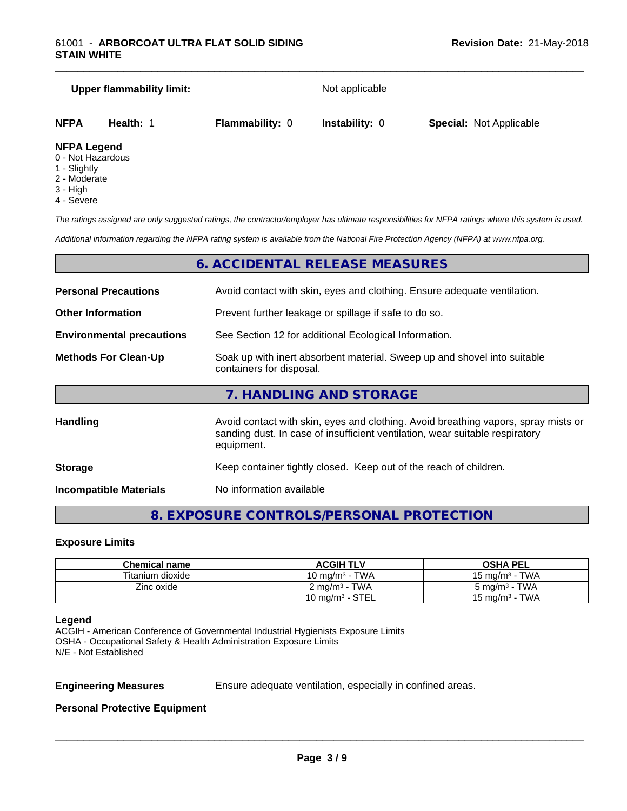# **Upper flammability limit:** Not applicable **NFPA Health:** 1 **Flammability:** 0 **Instability:** 0 **Special:** Not Applicable

#### **NFPA Legend**

- 0 Not Hazardous
- 1 Slightly
- 2 Moderate
- 3 High
- 4 Severe

*The ratings assigned are only suggested ratings, the contractor/employer has ultimate responsibilities for NFPA ratings where this system is used.*

*Additional information regarding the NFPA rating system is available from the National Fire Protection Agency (NFPA) at www.nfpa.org.*

#### **6. ACCIDENTAL RELEASE MEASURES**

| <b>Personal Precautions</b>          | Avoid contact with skin, eyes and clothing. Ensure adequate ventilation.                                                                                                         |
|--------------------------------------|----------------------------------------------------------------------------------------------------------------------------------------------------------------------------------|
| <b>Other Information</b>             | Prevent further leakage or spillage if safe to do so.                                                                                                                            |
| <b>Environmental precautions</b>     | See Section 12 for additional Ecological Information.                                                                                                                            |
| <b>Methods For Clean-Up</b>          | Soak up with inert absorbent material. Sweep up and shovel into suitable<br>containers for disposal.                                                                             |
|                                      | 7. HANDLING AND STORAGE                                                                                                                                                          |
| Handling                             | Avoid contact with skin, eyes and clothing. Avoid breathing vapors, spray mists or<br>sanding dust. In case of insufficient ventilation, wear suitable respiratory<br>equipment. |
| <b>Storage</b>                       | Keep container tightly closed. Keep out of the reach of children.                                                                                                                |
| the company of the Common and Common | h le distance etten en edielele                                                                                                                                                  |

**Incompatible Materials** No information available

#### **8. EXPOSURE CONTROLS/PERSONAL PROTECTION**

#### **Exposure Limits**

| Chemical name    | <b>ACGIH TLV</b>           | <b>OSHA PEL</b>          |
|------------------|----------------------------|--------------------------|
| Titanium dioxide | 10 mg/m $3$ - TWA          | 15 mg/m $3$ - TWA        |
| Zinc oxide       | 2 mg/m <sup>3</sup> - TWA  | $5 \text{ mg/m}^3$ - TWA |
|                  | $10 \text{ mg/m}^3$ - STEL | 15 mg/m $3$ - TWA        |

#### **Legend**

ACGIH - American Conference of Governmental Industrial Hygienists Exposure Limits OSHA - Occupational Safety & Health Administration Exposure Limits N/E - Not Established

**Engineering Measures** Ensure adequate ventilation, especially in confined areas.

 $\overline{\phantom{a}}$  ,  $\overline{\phantom{a}}$  ,  $\overline{\phantom{a}}$  ,  $\overline{\phantom{a}}$  ,  $\overline{\phantom{a}}$  ,  $\overline{\phantom{a}}$  ,  $\overline{\phantom{a}}$  ,  $\overline{\phantom{a}}$  ,  $\overline{\phantom{a}}$  ,  $\overline{\phantom{a}}$  ,  $\overline{\phantom{a}}$  ,  $\overline{\phantom{a}}$  ,  $\overline{\phantom{a}}$  ,  $\overline{\phantom{a}}$  ,  $\overline{\phantom{a}}$  ,  $\overline{\phantom{a}}$ 

#### **Personal Protective Equipment**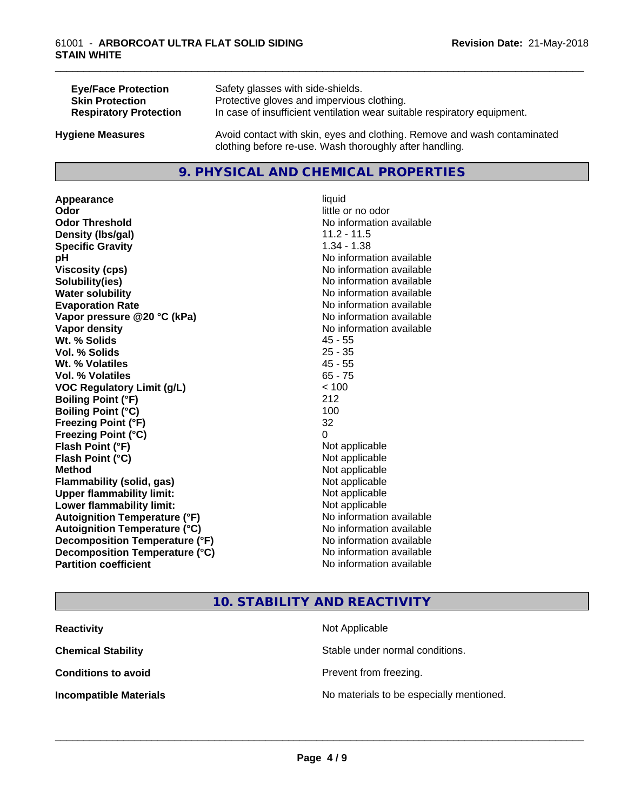| <b>Eye/Face Protection</b>    | Safety glasses with side-shields.                                        |
|-------------------------------|--------------------------------------------------------------------------|
| <b>Skin Protection</b>        | Protective gloves and impervious clothing.                               |
| <b>Respiratory Protection</b> | In case of insufficient ventilation wear suitable respiratory equipment. |
| <b>Hygiene Measures</b>       | Avoid contact with skin, eyes and clothing. Remove and wash contaminated |

#### **9. PHYSICAL AND CHEMICAL PROPERTIES**

clothing before re-use. Wash thoroughly after handling.

**Appearance** liquid **Odor** little or no odor **Odor Threshold No information available No information available Density (lbs/gal)** 11.2 - 11.5 **Specific Gravity** 1.34 - 1.38 **pH**<br>
Viscosity (cps) The Contract of the Contract of the Viscosity (cps) **Solubility(ies)** No information available **Water solubility Water solubility Water solubility Water solubility Water solubility Water solution Evaporation Rate No information available No information available Vapor pressure @20 °C (kPa)** No information available **Vapor density No information available Wt. % Solids** 45 - 55 **Vol. % Solids** 25 - 35 **Wt. % Volatiles** 45 - 55 **Vol. % Volatiles** 65 - 75 **VOC Regulatory Limit (g/L)** < 100 **Boiling Point (°F)** 212 **Boiling Point (°C)** 100 **Freezing Point (°F)** 32 **Freezing Point (°C)** 0 **Flash Point (°F)**<br> **Flash Point (°C)**<br> **Flash Point (°C)**<br> **Point (°C) Flash Point (°C) Method** Not applicable **Flammability (solid, gas)** Not applicable **Upper flammability limit:** Not applicable **Lower flammability limit:** Not applicable **Autoignition Temperature (°F)** No information available **Autoignition Temperature (°C)** No information available **Decomposition Temperature (°F)**<br> **Decomposition Temperature (°C)**<br>
No information available **Decomposition Temperature (°C)**<br>Partition coefficient

**Viscosity (cps)** No information available **No information available** 

\_\_\_\_\_\_\_\_\_\_\_\_\_\_\_\_\_\_\_\_\_\_\_\_\_\_\_\_\_\_\_\_\_\_\_\_\_\_\_\_\_\_\_\_\_\_\_\_\_\_\_\_\_\_\_\_\_\_\_\_\_\_\_\_\_\_\_\_\_\_\_\_\_\_\_\_\_\_\_\_\_\_\_\_\_\_\_\_\_\_\_\_\_

#### **10. STABILITY AND REACTIVITY**

| <b>Reactivity</b>             | Not Applicable                           |
|-------------------------------|------------------------------------------|
| <b>Chemical Stability</b>     | Stable under normal conditions.          |
| <b>Conditions to avoid</b>    | Prevent from freezing.                   |
| <b>Incompatible Materials</b> | No materials to be especially mentioned. |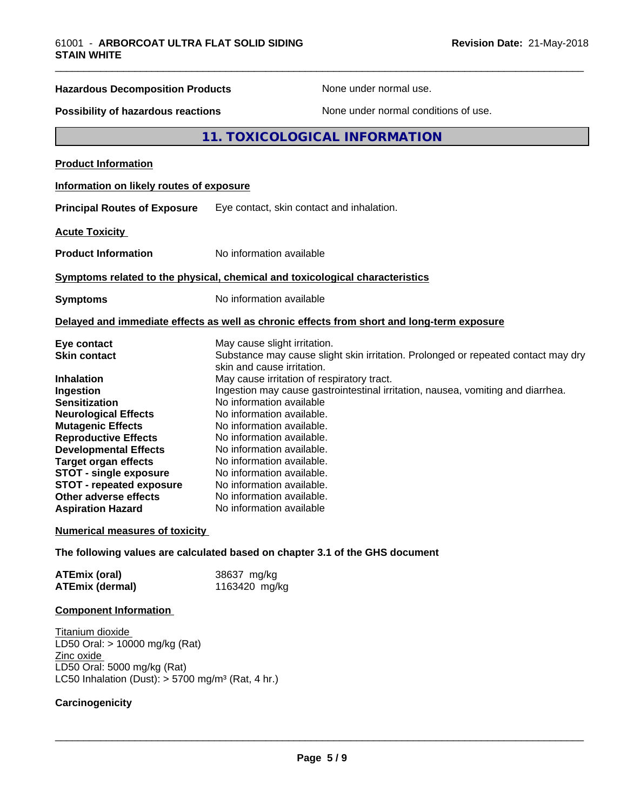# \_\_\_\_\_\_\_\_\_\_\_\_\_\_\_\_\_\_\_\_\_\_\_\_\_\_\_\_\_\_\_\_\_\_\_\_\_\_\_\_\_\_\_\_\_\_\_\_\_\_\_\_\_\_\_\_\_\_\_\_\_\_\_\_\_\_\_\_\_\_\_\_\_\_\_\_\_\_\_\_\_\_\_\_\_\_\_\_\_\_\_\_\_ **Hazardous Decomposition Products None under normal use.** None under normal use. **Possibility of hazardous reactions** None under normal conditions of use. **11. TOXICOLOGICAL INFORMATION Product Information Information on likely routes of exposure Principal Routes of Exposure** Eye contact, skin contact and inhalation. **Acute Toxicity Product Information** No information available **Symptoms related to the physical,chemical and toxicological characteristics Symptoms** No information available **Delayed and immediate effects as well as chronic effects from short and long-term exposure Eye contact Execution Contact May cause slight irritation.**<br> **Substance may cause slight in the Substance may cause slight** Substance may cause slight skin irritation. Prolonged or repeated contact may dry skin and cause irritation. **Inhalation** May cause irritation of respiratory tract. **Ingestion Ingestion may cause gastrointestinal irritation**, nausea, vomiting and diarrhea.

**Sensitization** No information available **Neurological Effects** No information available. **Mutagenic Effects** No information available. **Reproductive Effects** No information available. **Developmental Effects** No information available. **Target organ effects** No information available. **STOT -** single exposure Mo information available.<br>**STOT** - repeated exposure No information available. **STOT - repeated exposure** No information available.<br> **Other adverse effects** No information available. **Other adverse effects** 

#### **Numerical measures of toxicity**

**The following values are calculated based on chapter 3.1 of the GHS document**

| <b>ATEmix (oral)</b>   | 38637 mg/kg   |
|------------------------|---------------|
| <b>ATEmix (dermal)</b> | 1163420 mg/kg |

**Aspiration Hazard** No information available

#### **Component Information**

Titanium dioxide LD50 Oral: > 10000 mg/kg (Rat) Zinc oxide LD50 Oral: 5000 mg/kg (Rat) LC50 Inhalation (Dust):  $> 5700$  mg/m<sup>3</sup> (Rat, 4 hr.)

#### **Carcinogenicity**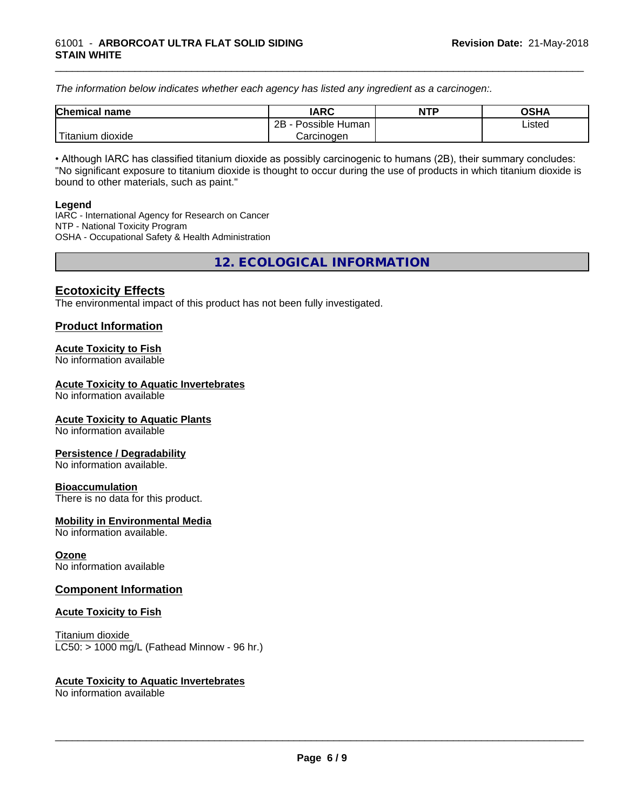*The information below indicateswhether each agency has listed any ingredient as a carcinogen:.*

| <b>Chemical</b><br>name  | <b>IARC</b>                    | <b>NTP</b> | <b>OSHA</b> |
|--------------------------|--------------------------------|------------|-------------|
|                          | . .<br>2B<br>Possible<br>Human |            | Listed<br>. |
| .<br>dioxide<br>⊺itanium | Carcinogen                     |            |             |

\_\_\_\_\_\_\_\_\_\_\_\_\_\_\_\_\_\_\_\_\_\_\_\_\_\_\_\_\_\_\_\_\_\_\_\_\_\_\_\_\_\_\_\_\_\_\_\_\_\_\_\_\_\_\_\_\_\_\_\_\_\_\_\_\_\_\_\_\_\_\_\_\_\_\_\_\_\_\_\_\_\_\_\_\_\_\_\_\_\_\_\_\_

• Although IARC has classified titanium dioxide as possibly carcinogenic to humans (2B), their summary concludes: "No significant exposure to titanium dioxide is thought to occur during the use of products in which titanium dioxide is bound to other materials, such as paint."

#### **Legend**

IARC - International Agency for Research on Cancer NTP - National Toxicity Program OSHA - Occupational Safety & Health Administration

**12. ECOLOGICAL INFORMATION**

#### **Ecotoxicity Effects**

The environmental impact of this product has not been fully investigated.

#### **Product Information**

#### **Acute Toxicity to Fish**

No information available

#### **Acute Toxicity to Aquatic Invertebrates**

No information available

#### **Acute Toxicity to Aquatic Plants**

No information available

#### **Persistence / Degradability**

No information available.

#### **Bioaccumulation**

There is no data for this product.

#### **Mobility in Environmental Media**

No information available.

#### **Ozone**

No information available

#### **Component Information**

#### **Acute Toxicity to Fish**

Titanium dioxide  $LC50:$  > 1000 mg/L (Fathead Minnow - 96 hr.)

#### **Acute Toxicity to Aquatic Invertebrates**

No information available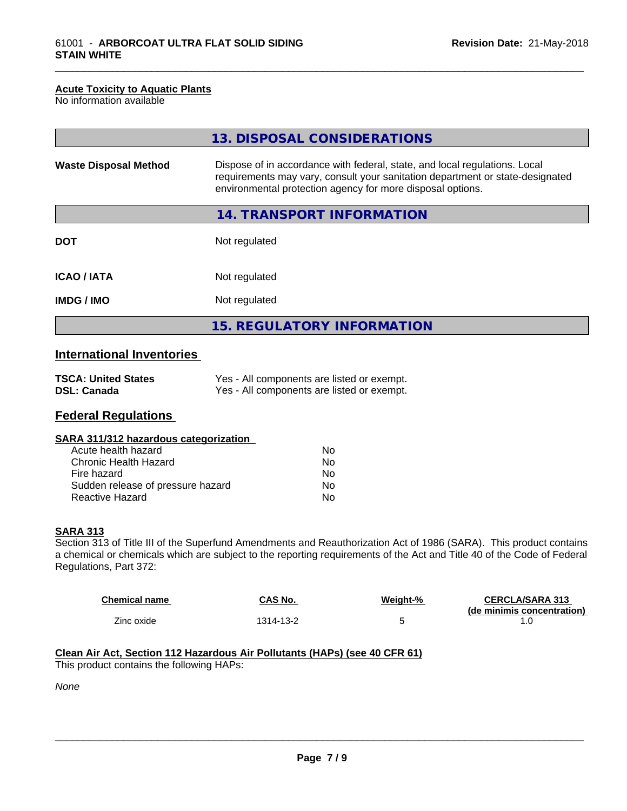#### **Acute Toxicity to Aquatic Plants**

No information available

|                              | 13. DISPOSAL CONSIDERATIONS                                                                                                                                                                                               |
|------------------------------|---------------------------------------------------------------------------------------------------------------------------------------------------------------------------------------------------------------------------|
| <b>Waste Disposal Method</b> | Dispose of in accordance with federal, state, and local regulations. Local<br>requirements may vary, consult your sanitation department or state-designated<br>environmental protection agency for more disposal options. |
|                              | 14. TRANSPORT INFORMATION                                                                                                                                                                                                 |
| <b>DOT</b>                   | Not regulated                                                                                                                                                                                                             |
| <b>ICAO/IATA</b>             | Not regulated                                                                                                                                                                                                             |
| <b>IMDG/IMO</b>              | Not regulated                                                                                                                                                                                                             |
|                              | <b>15. REGULATORY INFORMATION</b>                                                                                                                                                                                         |

\_\_\_\_\_\_\_\_\_\_\_\_\_\_\_\_\_\_\_\_\_\_\_\_\_\_\_\_\_\_\_\_\_\_\_\_\_\_\_\_\_\_\_\_\_\_\_\_\_\_\_\_\_\_\_\_\_\_\_\_\_\_\_\_\_\_\_\_\_\_\_\_\_\_\_\_\_\_\_\_\_\_\_\_\_\_\_\_\_\_\_\_\_

### **International Inventories**

| <b>TSCA: United States</b> | Yes - All components are listed or exempt. |
|----------------------------|--------------------------------------------|
| <b>DSL: Canada</b>         | Yes - All components are listed or exempt. |

#### **Federal Regulations**

| SARA 311/312 hazardous categorization |  |
|---------------------------------------|--|
|                                       |  |

| Acute health hazard               | N٥ |
|-----------------------------------|----|
| Chronic Health Hazard             | N٥ |
| Fire hazard                       | N٥ |
| Sudden release of pressure hazard | Nο |
| Reactive Hazard                   | N٥ |

#### **SARA 313**

Section 313 of Title III of the Superfund Amendments and Reauthorization Act of 1986 (SARA). This product contains a chemical or chemicals which are subject to the reporting requirements of the Act and Title 40 of the Code of Federal Regulations, Part 372:

| <b>Chemical name</b> | CAS No.   | Weiaht-% | <b>CERCLA/SARA 313</b><br>(de minimis concentration) |
|----------------------|-----------|----------|------------------------------------------------------|
| Zinc oxide           | 1314-13-2 |          | . . U                                                |

#### **Clean Air Act,Section 112 Hazardous Air Pollutants (HAPs) (see 40 CFR 61)**

This product contains the following HAPs:

*None*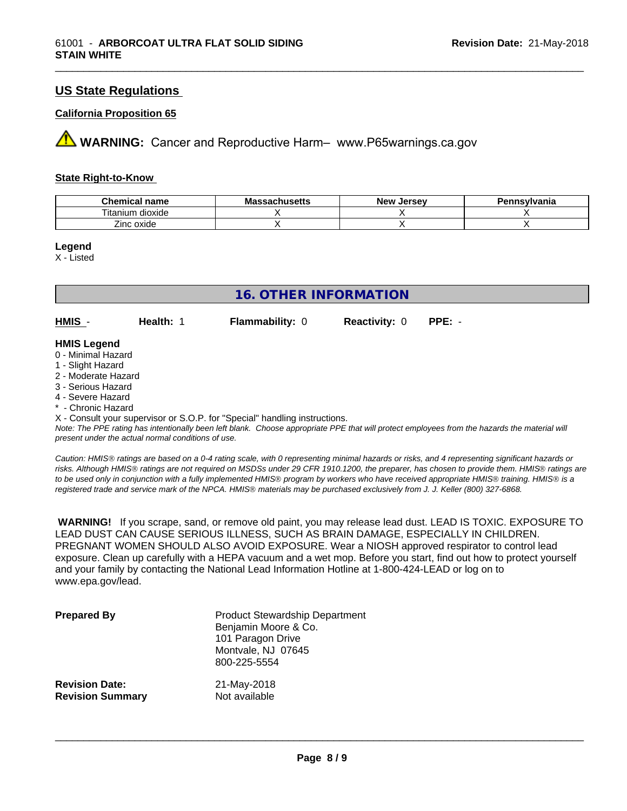#### **US State Regulations**

#### **California Proposition 65**

**AVIMARNING:** Cancer and Reproductive Harm– www.P65warnings.ca.gov

#### **State Right-to-Know**

| Chemical<br>name           | - -<br>eachusatte :<br>ма<br>museus<br>ээлы | . Jersev<br><b>ALOVE</b><br>NGW | Pennsvlvania |
|----------------------------|---------------------------------------------|---------------------------------|--------------|
| --<br>. itanium<br>dioxide |                                             |                                 |              |
| Zinc oxide                 |                                             |                                 |              |

\_\_\_\_\_\_\_\_\_\_\_\_\_\_\_\_\_\_\_\_\_\_\_\_\_\_\_\_\_\_\_\_\_\_\_\_\_\_\_\_\_\_\_\_\_\_\_\_\_\_\_\_\_\_\_\_\_\_\_\_\_\_\_\_\_\_\_\_\_\_\_\_\_\_\_\_\_\_\_\_\_\_\_\_\_\_\_\_\_\_\_\_\_

**Legend**

X - Listed

| 16. OTHER INFORMATION                                         |           |                        |                      |          |
|---------------------------------------------------------------|-----------|------------------------|----------------------|----------|
| $HMIS -$                                                      | Health: 1 | <b>Flammability: 0</b> | <b>Reactivity: 0</b> | $PPE: -$ |
| <b>HMIS Legend</b><br>0 - Minimal Hazard<br>1 - Slight Hazard |           |                        |                      |          |

- Slight Hazard
- 2 Moderate Hazard
- 3 Serious Hazard
- 4 Severe Hazard \* - Chronic Hazard
- X Consult your supervisor or S.O.P. for "Special" handling instructions.

*Note: The PPE rating has intentionally been left blank. Choose appropriate PPE that will protect employees from the hazards the material will present under the actual normal conditions of use.*

*Caution: HMISÒ ratings are based on a 0-4 rating scale, with 0 representing minimal hazards or risks, and 4 representing significant hazards or risks. Although HMISÒ ratings are not required on MSDSs under 29 CFR 1910.1200, the preparer, has chosen to provide them. HMISÒ ratings are to be used only in conjunction with a fully implemented HMISÒ program by workers who have received appropriate HMISÒ training. HMISÒ is a registered trade and service mark of the NPCA. HMISÒ materials may be purchased exclusively from J. J. Keller (800) 327-6868.*

 **WARNING!** If you scrape, sand, or remove old paint, you may release lead dust. LEAD IS TOXIC. EXPOSURE TO LEAD DUST CAN CAUSE SERIOUS ILLNESS, SUCH AS BRAIN DAMAGE, ESPECIALLY IN CHILDREN. PREGNANT WOMEN SHOULD ALSO AVOID EXPOSURE.Wear a NIOSH approved respirator to control lead exposure. Clean up carefully with a HEPA vacuum and a wet mop. Before you start, find out how to protect yourself and your family by contacting the National Lead Information Hotline at 1-800-424-LEAD or log on to www.epa.gov/lead.

| <b>Prepared By</b>      | <b>Product Stewardship Department</b><br>Benjamin Moore & Co.<br>101 Paragon Drive<br>Montvale, NJ 07645<br>800-225-5554 |
|-------------------------|--------------------------------------------------------------------------------------------------------------------------|
| <b>Revision Date:</b>   | 21-May-2018                                                                                                              |
| <b>Revision Summary</b> | Not available                                                                                                            |